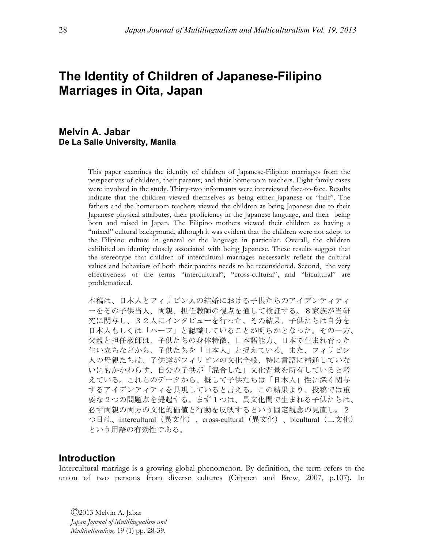# **The Identity of Children of Japanese-Filipino Marriages in Oita, Japan**

# **Melvin A. Jabar De La Salle University, Manila**

This paper examines the identity of children of Japanese-Filipino marriages from the perspectives of children, their parents, and their homeroom teachers. Eight family cases were involved in the study. Thirty-two informants were interviewed face-to-face. Results indicate that the children viewed themselves as being either Japanese or "half". The fathers and the homeroom teachers viewed the children as being Japanese due to their Japanese physical attributes, their proficiency in the Japanese language, and their being born and raised in Japan. The Filipino mothers viewed their children as having a "mixed" cultural background, although it was evident that the children were not adept to the Filipino culture in general or the language in particular. Overall, the children exhibited an identity closely associated with being Japanese. These results suggest that the stereotype that children of intercultural marriages necessarily reflect the cultural values and behaviors of both their parents needs to be reconsidered. Second, the very effectiveness of the terms "intercultural", "cross-cultural", and "bicultural" are problematized.

本稿は、日本人とフィリピン人の結婚における子供たちのアイデンティティ ーをその子供当人、両親、担任教師の視点を通して検証する。8家族が当研 究に関与し、32人にインタビューを行った。その結果、子供たちは自分を 日本人もしくは「ハーフ」と認識していることが明らかとなった。その一方、 父親と担任教師は、子供たちの身体特徴、日本語能力、日本で生まれ育った 生い立ちなどから、子供たちを「日本人」と捉えている。また、フィリピン 人の母親たちは、子供達がフィリピンの文化全般、特に言語に精通していな いにもかかわらず、自分の子供が「混合した」文化背景を所有していると考 えている。これらのデータから、概して子供たちは「日本人」性に深く関与 するアイデンティティを具現していると言える。この結果より、投稿では重 要な2つの問題点を提起する。まず1つは、異文化間で生まれる子供たちは、 必ず両親の両方の文化的価値と行動を反映するという固定観念の見直し。2 つ目は、intercultural(異文化)、cross-cultural(異文化)、bicultural(二文化) という用語の有効性である。

# **Introduction**

Intercultural marriage is a growing global phenomenon. By definition, the term refers to the union of two persons from diverse cultures (Crippen and Brew, 2007, p.107). In

Ⓒ2013 Melvin A. Jabar *Japan Journal of Multilingualism and Multiculturalism,* 19 (1) pp. 28-39.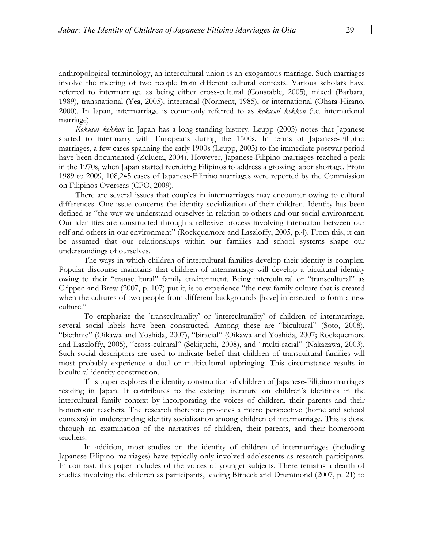anthropological terminology, an intercultural union is an exogamous marriage. Such marriages involve the meeting of two people from different cultural contexts. Various scholars have referred to intermarriage as being either cross-cultural (Constable, 2005), mixed (Barbara, 1989), transnational (Yea, 2005), interracial (Norment, 1985), or international (Ohara-Hirano, 2000). In Japan, intermarriage is commonly referred to as *kokusai kekkon* (i.e. international marriage).

 *Kokusai kekkon* in Japan has a long-standing history. Leupp (2003) notes that Japanese started to intermarry with Europeans during the 1500s. In terms of Japanese-Filipino marriages, a few cases spanning the early 1900s (Leupp, 2003) to the immediate postwar period have been documented (Zulueta, 2004). However, Japanese-Filipino marriages reached a peak in the 1970s, when Japan started recruiting Filipinos to address a growing labor shortage. From 1989 to 2009, 108,245 cases of Japanese-Filipino marriages were reported by the Commission on Filipinos Overseas (CFO, 2009).

There are several issues that couples in intermarriages may encounter owing to cultural differences. One issue concerns the identity socialization of their children. Identity has been defined as "the way we understand ourselves in relation to others and our social environment. Our identities are constructed through a reflexive process involving interaction between our self and others in our environment" (Rockquemore and Laszloffy, 2005, p.4). From this, it can be assumed that our relationships within our families and school systems shape our understandings of ourselves.

The ways in which children of intercultural families develop their identity is complex. Popular discourse maintains that children of intermarriage will develop a bicultural identity owing to their "transcultural" family environment. Being intercultural or "transcultural" as Crippen and Brew (2007, p. 107) put it, is to experience "the new family culture that is created when the cultures of two people from different backgrounds [have] intersected to form a new culture."

To emphasize the 'transculturality' or 'interculturality' of children of intermarriage, several social labels have been constructed. Among these are "bicultural" (Soto, 2008), "biethnic" (Oikawa and Yoshida, 2007), "biracial" (Oikawa and Yoshida, 2007; Rockquemore and Laszloffy, 2005), "cross-cultural" (Sekiguchi, 2008), and "multi-racial" (Nakazawa, 2003). Such social descriptors are used to indicate belief that children of transcultural families will most probably experience a dual or multicultural upbringing. This circumstance results in bicultural identity construction.

This paper explores the identity construction of children of Japanese-Filipino marriages residing in Japan. It contributes to the existing literature on children's identities in the intercultural family context by incorporating the voices of children, their parents and their homeroom teachers. The research therefore provides a micro perspective (home and school contexts) in understanding identity socialization among children of intermarriage. This is done through an examination of the narratives of children, their parents, and their homeroom teachers.

In addition, most studies on the identity of children of intermarriages (including Japanese-Filipino marriages) have typically only involved adolescents as research participants. In contrast, this paper includes of the voices of younger subjects. There remains a dearth of studies involving the children as participants, leading Birbeck and Drummond (2007, p. 21) to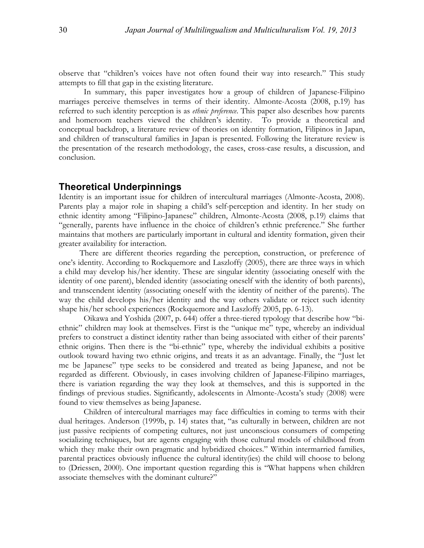observe that "children's voices have not often found their way into research." This study attempts to fill that gap in the existing literature.

In summary, this paper investigates how a group of children of Japanese-Filipino marriages perceive themselves in terms of their identity. Almonte-Acosta (2008, p.19) has referred to such identity perception is as *ethnic preference*. This paper also describes how parents and homeroom teachers viewed the children's identity. To provide a theoretical and conceptual backdrop, a literature review of theories on identity formation, Filipinos in Japan, and children of transcultural families in Japan is presented. Following the literature review is the presentation of the research methodology, the cases, cross-case results, a discussion, and conclusion.

# **Theoretical Underpinnings**

Identity is an important issue for children of intercultural marriages (Almonte-Acosta, 2008). Parents play a major role in shaping a child's self-perception and identity. In her study on ethnic identity among "Filipino-Japanese" children, Almonte-Acosta (2008, p.19) claims that "generally, parents have influence in the choice of children's ethnic preference." She further maintains that mothers are particularly important in cultural and identity formation, given their greater availability for interaction.

There are different theories regarding the perception, construction, or preference of one's identity. According to Rockquemore and Laszloffy (2005), there are three ways in which a child may develop his/her identity. These are singular identity (associating oneself with the identity of one parent), blended identity (associating oneself with the identity of both parents), and transcendent identity (associating oneself with the identity of neither of the parents). The way the child develops his/her identity and the way others validate or reject such identity shape his/her school experiences (Rockquemore and Laszloffy 2005, pp. 6-13).

Oikawa and Yoshida (2007, p. 644) offer a three-tiered typology that describe how "biethnic" children may look at themselves. First is the "unique me" type, whereby an individual prefers to construct a distinct identity rather than being associated with either of their parents' ethnic origins. Then there is the "bi-ethnic" type, whereby the individual exhibits a positive outlook toward having two ethnic origins, and treats it as an advantage. Finally, the "Just let me be Japanese" type seeks to be considered and treated as being Japanese, and not be regarded as different. Obviously, in cases involving children of Japanese-Filipino marriages, there is variation regarding the way they look at themselves, and this is supported in the findings of previous studies. Significantly, adolescents in Almonte-Acosta's study (2008) were found to view themselves as being Japanese.

Children of intercultural marriages may face difficulties in coming to terms with their dual heritages. Anderson (1999b, p. 14) states that, "as culturally in between, children are not just passive recipients of competing cultures, not just unconscious consumers of competing socializing techniques, but are agents engaging with those cultural models of childhood from which they make their own pragmatic and hybridized choices." Within intermarried families, parental practices obviously influence the cultural identity(ies) the child will choose to belong to (Driessen, 2000). One important question regarding this is "What happens when children associate themselves with the dominant culture?"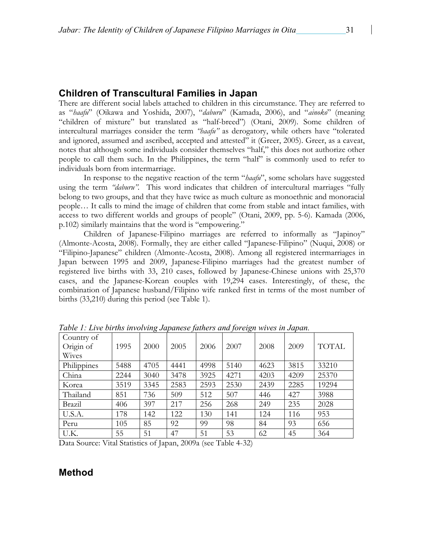# **Children of Transcultural Families in Japan**

There are different social labels attached to children in this circumstance. They are referred to as "*haafu*" (Oikawa and Yoshida, 2007), "*daburu*" (Kamada, 2006), and "*ainoko*" (meaning "children of mixture" but translated as "half-breed") (Otani, 2009). Some children of intercultural marriages consider the term *"haafu"* as derogatory, while others have "tolerated and ignored, assumed and ascribed, accepted and attested" it (Greer, 2005). Greer, as a caveat, notes that although some individuals consider themselves "half," this does not authorize other people to call them such. In the Philippines, the term "half" is commonly used to refer to individuals born from intermarriage.

In response to the negative reaction of the term "*haafu*", some scholars have suggested using the term *"daburu".* This word indicates that children of intercultural marriages "fully belong to two groups, and that they have twice as much culture as monoethnic and monoracial people… It calls to mind the image of children that come from stable and intact families, with access to two different worlds and groups of people" (Otani, 2009, pp. 5-6). Kamada (2006, p.102) similarly maintains that the word is "empowering."

Children of Japanese-Filipino marriages are referred to informally as "Japinoy" (Almonte-Acosta, 2008). Formally, they are either called "Japanese-Filipino" (Nuqui, 2008) or "Filipino-Japanese" children (Almonte-Acosta, 2008). Among all registered intermarriages in Japan between 1995 and 2009, Japanese-Filipino marriages had the greatest number of registered live births with 33, 210 cases, followed by Japanese-Chinese unions with 25,370 cases, and the Japanese-Korean couples with 19,294 cases. Interestingly, of these, the combination of Japanese husband/Filipino wife ranked first in terms of the most number of births (33,210) during this period (see Table 1).

| Tubic 1. Elire births throtruiz bupunese futuers and foreizh mires tu bupun. |      |      |      |      |      |      |      |              |
|------------------------------------------------------------------------------|------|------|------|------|------|------|------|--------------|
| Country of<br>Origin of                                                      | 1995 | 2000 | 2005 | 2006 | 2007 | 2008 | 2009 | <b>TOTAL</b> |
| Wives                                                                        |      |      |      |      |      |      |      |              |
| Philippines                                                                  | 5488 | 4705 | 4441 | 4998 | 5140 | 4623 | 3815 | 33210        |
| China                                                                        | 2244 | 3040 | 3478 | 3925 | 4271 | 4203 | 4209 | 25370        |
| Korea                                                                        | 3519 | 3345 | 2583 | 2593 | 2530 | 2439 | 2285 | 19294        |
| Thailand                                                                     | 851  | 736  | 509  | 512  | 507  | 446  | 427  | 3988         |
| Brazil                                                                       | 406  | 397  | 217  | 256  | 268  | 249  | 235  | 2028         |
| U.S.A.                                                                       | 178  | 142  | 122  | 130  | 141  | 124  | 116  | 953          |
| Peru                                                                         | 105  | 85   | 92   | 99   | 98   | 84   | 93   | 656          |
| U.K.                                                                         | 55   | 51   | 47   | 51   | 53   | 62   | 45   | 364          |

*Table 1: Live births involving Japanese fathers and foreign wives in Japan.*

Data Source: Vital Statistics of Japan, 2009a (see Table 4-32)

# **Method**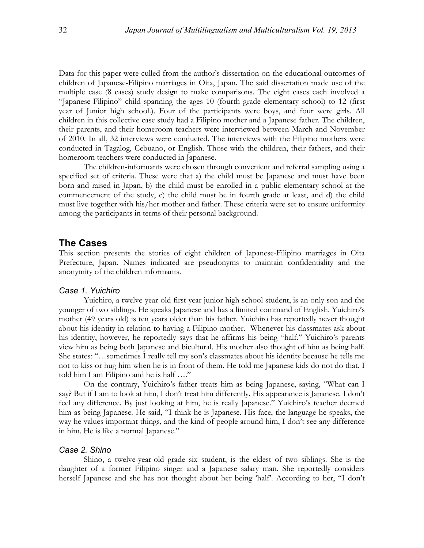Data for this paper were culled from the author's dissertation on the educational outcomes of children of Japanese-Filipino marriages in Oita, Japan. The said dissertation made use of the multiple case (8 cases) study design to make comparisons. The eight cases each involved a "Japanese-Filipino" child spanning the ages 10 (fourth grade elementary school) to 12 (first year of Junior high school.). Four of the participants were boys, and four were girls. All children in this collective case study had a Filipino mother and a Japanese father. The children, their parents, and their homeroom teachers were interviewed between March and November of 2010. In all, 32 interviews were conducted. The interviews with the Filipino mothers were conducted in Tagalog, Cebuano, or English. Those with the children, their fathers, and their homeroom teachers were conducted in Japanese.

The children-informants were chosen through convenient and referral sampling using a specified set of criteria. These were that a) the child must be Japanese and must have been born and raised in Japan, b) the child must be enrolled in a public elementary school at the commencement of the study, c) the child must be in fourth grade at least, and d) the child must live together with his/her mother and father. These criteria were set to ensure uniformity among the participants in terms of their personal background.

# **The Cases**

This section presents the stories of eight children of Japanese-Filipino marriages in Oita Prefecture, Japan. Names indicated are pseudonyms to maintain confidentiality and the anonymity of the children informants.

#### *Case 1. Yuichiro*

Yuichiro, a twelve-year-old first year junior high school student, is an only son and the younger of two siblings. He speaks Japanese and has a limited command of English. Yuichiro's mother (49 years old) is ten years older than his father. Yuichiro has reportedly never thought about his identity in relation to having a Filipino mother. Whenever his classmates ask about his identity, however, he reportedly says that he affirms his being "half." Yuichiro's parents view him as being both Japanese and bicultural. His mother also thought of him as being half. She states: "…sometimes I really tell my son's classmates about his identity because he tells me not to kiss or hug him when he is in front of them. He told me Japanese kids do not do that. I told him I am Filipino and he is half …."

On the contrary, Yuichiro's father treats him as being Japanese, saying, "What can I say? But if I am to look at him, I don't treat him differently. His appearance is Japanese. I don't feel any difference. By just looking at him, he is really Japanese." Yuichiro's teacher deemed him as being Japanese. He said, "I think he is Japanese. His face, the language he speaks, the way he values important things, and the kind of people around him, I don't see any difference in him. He is like a normal Japanese."

#### *Case 2. Shino*

Shino, a twelve-year-old grade six student, is the eldest of two siblings. She is the daughter of a former Filipino singer and a Japanese salary man. She reportedly considers herself Japanese and she has not thought about her being 'half'. According to her, "I don't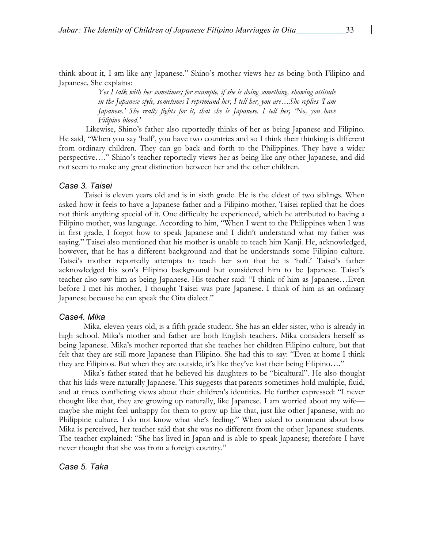think about it, I am like any Japanese." Shino's mother views her as being both Filipino and Japanese. She explains:

> *Yes I talk with her sometimes; for example, if she is doing something, showing attitude in the Japanese style, sometimes I reprimand her, I tell her, you are…She replies 'I am Japanese.' She really fights for it, that she is Japanese. I tell her, 'No, you have Filipino blood.'*

Likewise, Shino's father also reportedly thinks of her as being Japanese and Filipino. He said, "When you say 'half', you have two countries and so I think their thinking is different from ordinary children. They can go back and forth to the Philippines. They have a wider perspective…." Shino's teacher reportedly views her as being like any other Japanese, and did not seem to make any great distinction between her and the other children.

#### *Case 3. Taisei*

Taisei is eleven years old and is in sixth grade. He is the eldest of two siblings. When asked how it feels to have a Japanese father and a Filipino mother, Taisei replied that he does not think anything special of it. One difficulty he experienced, which he attributed to having a Filipino mother, was language. According to him, "When I went to the Philippines when I was in first grade, I forgot how to speak Japanese and I didn't understand what my father was saying." Taisei also mentioned that his mother is unable to teach him Kanji. He, acknowledged, however, that he has a different background and that he understands some Filipino culture. Taisei's mother reportedly attempts to teach her son that he is 'half.' Taisei's father acknowledged his son's Filipino background but considered him to be Japanese. Taisei's teacher also saw him as being Japanese. His teacher said: "I think of him as Japanese…Even before I met his mother, I thought Taisei was pure Japanese. I think of him as an ordinary Japanese because he can speak the Oita dialect."

#### *Case4. Mika*

Mika, eleven years old, is a fifth grade student. She has an elder sister, who is already in high school. Mika's mother and father are both English teachers. Mika considers herself as being Japanese. Mika's mother reported that she teaches her children Filipino culture, but that felt that they are still more Japanese than Filipino. She had this to say: "Even at home I think they are Filipinos. But when they are outside, it's like they've lost their being Filipino…."

Mika's father stated that he believed his daughters to be "bicultural". He also thought that his kids were naturally Japanese. This suggests that parents sometimes hold multiple, fluid, and at times conflicting views about their children's identities. He further expressed: "I never thought like that, they are growing up naturally, like Japanese. I am worried about my wife maybe she might feel unhappy for them to grow up like that, just like other Japanese, with no Philippine culture. I do not know what she's feeling." When asked to comment about how Mika is perceived, her teacher said that she was no different from the other Japanese students. The teacher explained: "She has lived in Japan and is able to speak Japanese; therefore I have never thought that she was from a foreign country."

#### *Case 5. Taka*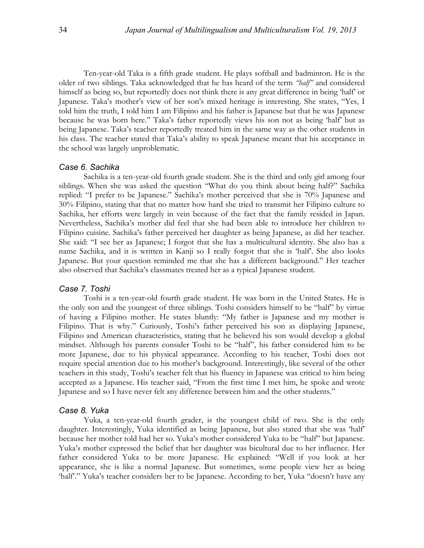Ten-year-old Taka is a fifth grade student. He plays softball and badminton. He is the older of two siblings. Taka acknowledged that he has heard of the term *"half"* and considered himself as being so, but reportedly does not think there is any great difference in being 'half' or Japanese. Taka's mother's view of her son's mixed heritage is interesting. She states, "Yes, I told him the truth, I told him I am Filipino and his father is Japanese but that he was Japanese because he was born here." Taka's father reportedly views his son not as being 'half' but as being Japanese. Taka's teacher reportedly treated him in the same way as the other students in his class. The teacher stated that Taka's ability to speak Japanese meant that his acceptance in the school was largely unproblematic.

#### *Case 6. Sachika*

Sachika is a ten-year-old fourth grade student. She is the third and only girl among four siblings. When she was asked the question "What do you think about being half?" Sachika replied: "I prefer to be Japanese." Sachika's mother perceived that she is 70% Japanese and 30% Filipino, stating that that no matter how hard she tried to transmit her Filipino culture to Sachika, her efforts were largely in vein because of the fact that the family resided in Japan. Nevertheless, Sachika's mother did feel that she had been able to introduce her children to Filipino cuisine. Sachika's father perceived her daughter as being Japanese, as did her teacher. She said: "I see her as Japanese; I forgot that she has a multicultural identity. She also has a name Sachika, and it is written in Kanji so I really forgot that she is 'half'. She also looks Japanese. But your question reminded me that she has a different background." Her teacher also observed that Sachika's classmates treated her as a typical Japanese student.

#### *Case 7. Toshi*

Toshi is a ten-year-old fourth grade student. He was born in the United States. He is the only son and the youngest of three siblings. Toshi considers himself to be "half" by virtue of having a Filipino mother. He states bluntly: "My father is Japanese and my mother is Filipino. That is why." Curiously, Toshi's father perceived his son as displaying Japanese, Filipino and American characteristics, stating that he believed his son would develop a global mindset. Although his parents consider Toshi to be "half", his father considered him to be more Japanese, due to his physical appearance. According to his teacher, Toshi does not require special attention due to his mother's background. Interestingly, like several of the other teachers in this study, Toshi's teacher felt that his fluency in Japanese was critical to him being accepted as a Japanese. His teacher said, "From the first time I met him, he spoke and wrote Japanese and so I have never felt any difference between him and the other students."

#### *Case 8. Yuka*

Yuka, a ten-year-old fourth grader, is the youngest child of two. She is the only daughter. Interestingly, Yuka identified as being Japanese, but also stated that she was 'half' because her mother told had her so. Yuka's mother considered Yuka to be "half" but Japanese. Yuka's mother expressed the belief that her daughter was bicultural due to her influence. Her father considered Yuka to be more Japanese. He explained: "Well if you look at her appearance, she is like a normal Japanese. But sometimes, some people view her as being 'half'." Yuka's teacher considers her to be Japanese. According to her, Yuka "doesn't have any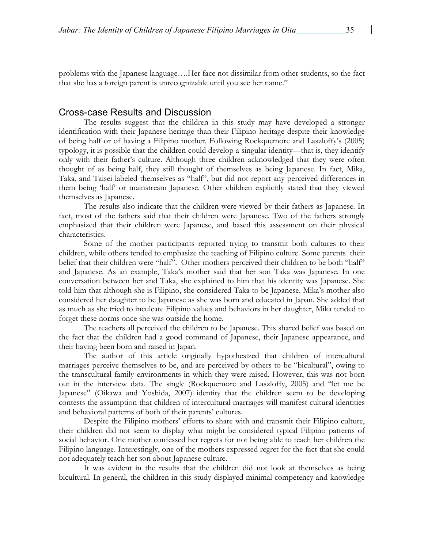problems with the Japanese language….Her face not dissimilar from other students, so the fact that she has a foreign parent is unrecognizable until you see her name."

#### Cross-case Results and Discussion

The results suggest that the children in this study may have developed a stronger identification with their Japanese heritage than their Filipino heritage despite their knowledge of being half or of having a Filipino mother. Following Rockquemore and Laszloffy's (2005) typology, it is possible that the children could develop a singular identity—that is, they identify only with their father's culture. Although three children acknowledged that they were often thought of as being half, they still thought of themselves as being Japanese. In fact, Mika, Taka, and Taisei labeled themselves as "half", but did not report any perceived differences in them being 'half' or mainstream Japanese. Other children explicitly stated that they viewed themselves as Japanese.

The results also indicate that the children were viewed by their fathers as Japanese. In fact, most of the fathers said that their children were Japanese. Two of the fathers strongly emphasized that their children were Japanese, and based this assessment on their physical characteristics.

Some of the mother participants reported trying to transmit both cultures to their children, while others tended to emphasize the teaching of Filipino culture. Some parents their belief that their children were "half". Other mothers perceived their children to be both "half" and Japanese. As an example, Taka's mother said that her son Taka was Japanese. In one conversation between her and Taka, she explained to him that his identity was Japanese. She told him that although she is Filipino, she considered Taka to be Japanese. Mika's mother also considered her daughter to be Japanese as she was born and educated in Japan. She added that as much as she tried to inculcate Filipino values and behaviors in her daughter, Mika tended to forget these norms once she was outside the home.

The teachers all perceived the children to be Japanese. This shared belief was based on the fact that the children had a good command of Japanese, their Japanese appearance, and their having been born and raised in Japan.

The author of this article originally hypothesized that children of intercultural marriages perceive themselves to be, and are perceived by others to be "bicultural", owing to the transcultural family environments in which they were raised. However, this was not born out in the interview data. The single (Rockquemore and Laszloffy, 2005) and "let me be Japanese" (Oikawa and Yoshida, 2007) identity that the children seem to be developing contests the assumption that children of intercultural marriages will manifest cultural identities and behavioral patterns of both of their parents' cultures.

Despite the Filipino mothers' efforts to share with and transmit their Filipino culture, their children did not seem to display what might be considered typical Filipino patterns of social behavior. One mother confessed her regrets for not being able to teach her children the Filipino language. Interestingly, one of the mothers expressed regret for the fact that she could not adequately teach her son about Japanese culture.

It was evident in the results that the children did not look at themselves as being bicultural. In general, the children in this study displayed minimal competency and knowledge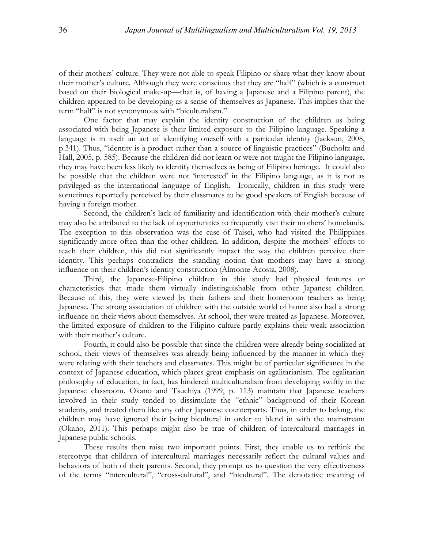of their mothers' culture. They were not able to speak Filipino or share what they know about their mother's culture. Although they were conscious that they are "half" (which is a construct based on their biological make-up—that is, of having a Japanese and a Filipino parent), the children appeared to be developing as a sense of themselves as Japanese. This implies that the term "half" is not synonymous with "biculturalism."

One factor that may explain the identity construction of the children as being associated with being Japanese is their limited exposure to the Filipino language. Speaking a language is in itself an act of identifying oneself with a particular identity (Jackson, 2008, p.341). Thus, "identity is a product rather than a source of linguistic practices" (Bucholtz and Hall, 2005, p. 585). Because the children did not learn or were not taught the Filipino language, they may have been less likely to identify themselves as being of Filipino heritage. It could also be possible that the children were not 'interested' in the Filipino language, as it is not as privileged as the international language of English. Ironically, children in this study were sometimes reportedly perceived by their classmates to be good speakers of English because of having a foreign mother.

Second, the children's lack of familiarity and identification with their mother's culture may also be attributed to the lack of opportunities to frequently visit their mothers' homelands. The exception to this observation was the case of Taisei, who had visited the Philippines significantly more often than the other children. In addition, despite the mothers' efforts to teach their children, this did not significantly impact the way the children perceive their identity. This perhaps contradicts the standing notion that mothers may have a strong influence on their children's identity construction (Almonte-Acosta, 2008).

Third, the Japanese-Filipino children in this study had physical features or characteristics that made them virtually indistinguishable from other Japanese children. Because of this, they were viewed by their fathers and their homeroom teachers as being Japanese. The strong association of children with the outside world of home also had a strong influence on their views about themselves. At school, they were treated as Japanese. Moreover, the limited exposure of children to the Filipino culture partly explains their weak association with their mother's culture.

Fourth, it could also be possible that since the children were already being socialized at school, their views of themselves was already being influenced by the manner in which they were relating with their teachers and classmates. This might be of particular significance in the context of Japanese education, which places great emphasis on egalitarianism. The egalitarian philosophy of education, in fact, has hindered multiculturalism from developing swiftly in the Japanese classroom. Okano and Tsuchiya (1999, p. 113) maintain that Japanese teachers involved in their study tended to dissimulate the "ethnic" background of their Korean students, and treated them like any other Japanese counterparts. Thus, in order to belong, the children may have ignored their being bicultural in order to blend in with the mainstream (Okano, 2011). This perhaps might also be true of children of intercultural marriages in Japanese public schools.

These results then raise two important points. First, they enable us to rethink the stereotype that children of intercultural marriages necessarily reflect the cultural values and behaviors of both of their parents. Second, they prompt us to question the very effectiveness of the terms "intercultural", "cross-cultural", and "bicultural". The denotative meaning of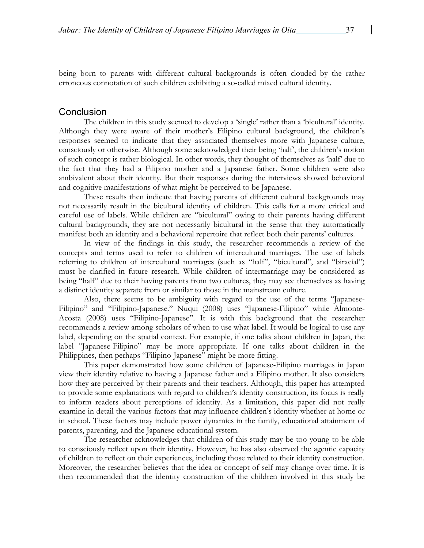being born to parents with different cultural backgrounds is often clouded by the rather erroneous connotation of such children exhibiting a so-called mixed cultural identity.

# **Conclusion**

The children in this study seemed to develop a 'single' rather than a 'bicultural' identity. Although they were aware of their mother's Filipino cultural background, the children's responses seemed to indicate that they associated themselves more with Japanese culture, consciously or otherwise. Although some acknowledged their being 'half', the children's notion of such concept is rather biological. In other words, they thought of themselves as 'half' due to the fact that they had a Filipino mother and a Japanese father. Some children were also ambivalent about their identity. But their responses during the interviews showed behavioral and cognitive manifestations of what might be perceived to be Japanese.

These results then indicate that having parents of different cultural backgrounds may not necessarily result in the bicultural identity of children. This calls for a more critical and careful use of labels. While children are "bicultural" owing to their parents having different cultural backgrounds, they are not necessarily bicultural in the sense that they automatically manifest both an identity and a behavioral repertoire that reflect both their parents' cultures.

In view of the findings in this study, the researcher recommends a review of the concepts and terms used to refer to children of intercultural marriages. The use of labels referring to children of intercultural marriages (such as "half", "bicultural", and "biracial") must be clarified in future research. While children of intermarriage may be considered as being "half" due to their having parents from two cultures, they may see themselves as having a distinct identity separate from or similar to those in the mainstream culture.

Also, there seems to be ambiguity with regard to the use of the terms "Japanese-Filipino" and "Filipino-Japanese." Nuqui (2008) uses "Japanese-Filipino" while Almonte-Acosta (2008) uses "Filipino-Japanese". It is with this background that the researcher recommends a review among scholars of when to use what label. It would be logical to use any label, depending on the spatial context. For example, if one talks about children in Japan, the label "Japanese-Filipino" may be more appropriate. If one talks about children in the Philippines, then perhaps "Filipino-Japanese" might be more fitting.

This paper demonstrated how some children of Japanese-Filipino marriages in Japan view their identity relative to having a Japanese father and a Filipino mother. It also considers how they are perceived by their parents and their teachers. Although, this paper has attempted to provide some explanations with regard to children's identity construction, its focus is really to inform readers about perceptions of identity. As a limitation, this paper did not really examine in detail the various factors that may influence children's identity whether at home or in school. These factors may include power dynamics in the family, educational attainment of parents, parenting, and the Japanese educational system.

The researcher acknowledges that children of this study may be too young to be able to consciously reflect upon their identity. However, he has also observed the agentic capacity of children to reflect on their experiences, including those related to their identity construction. Moreover, the researcher believes that the idea or concept of self may change over time. It is then recommended that the identity construction of the children involved in this study be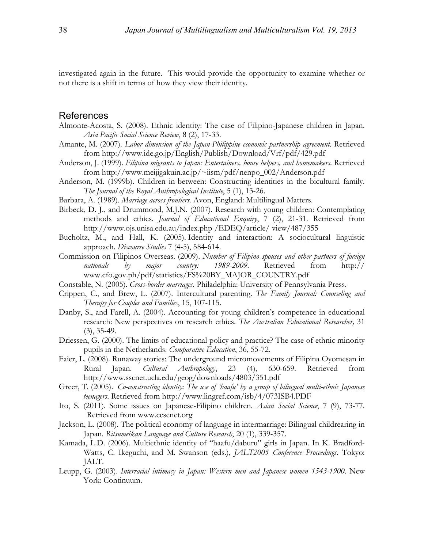investigated again in the future. This would provide the opportunity to examine whether or not there is a shift in terms of how they view their identity.

### References

- Almonte-Acosta, S. (2008). Ethnic identity: The case of Filipino-Japanese children in Japan. *Asia Pacific Social Science Review*, 8 (2), 17-33.
- Amante, M. (2007). *Labor dimension of the Japan-Philippine economic partnership agreement.* Retrieved from http://www.ide.go.jp/English/Publish/Download/Vrf/pdf/429.pdf
- Anderson, J. (1999). *Filipina migrants to Japan: Entertainers, house helpers, and homemakers*. Retrieved from http://www.meijigakuin.ac.jp/~iism/pdf/nenpo\_002/Anderson.pdf
- Anderson, M. (1999b). Children in-between: Constructing identities in the bicultural family. *The Journal of the Royal Anthropological Institute*, 5 (1), 13-26.
- Barbara, A. (1989). *Marriage across frontiers*. Avon, England: Multilingual Matters.
- Birbeck, D. J., and Drummond, M.J.N. (2007). Research with young children: Contemplating methods and ethics. *Journal of Educational Enquiry*, 7 (2), 21-31. Retrieved from http://www.ojs.unisa.edu.au/index.php /EDEQ/article/ view/487/355
- Bucholtz, M., and Hall, K. (2005). Identity and interaction: A sociocultural linguistic approach. *Discourse Studies* 7 (4-5), 584-614.
- Commission on Filipinos Overseas. (2009). *Number of Filipino spouses and other partners of foreign nationals by major country: 1989-2009*. Retrieved from http:// www.cfo.gov.ph/pdf/statistics/FS%20BY\_MAJOR\_COUNTRY.pdf
- Constable, N. (2005). *Cross-border marriages*. Philadelphia: University of Pennsylvania Press.
- Crippen, C., and Brew, L. (2007). Intercultural parenting. *The Family Journal: Counseling and Therapy for Couples and Families*, 15, 107-115.
- Danby, S., and Farell, A. (2004). Accounting for young children's competence in educational research: New perspectives on research ethics. *The Australian Educational Researcher,* 31 (3), 35-49.
- Driessen, G. (2000). The limits of educational policy and practice? The case of ethnic minority pupils in the Netherlands. *Comparative Education*, 36, 55-72.
- Faier, L. (2008). Runaway stories: The underground micromovements of Filipina Oyomesan in Rural Japan. *Cultural Anthropology*, 23 (4), 630-659. Retrieved from http://www.sscnet.ucla.edu/geog/downloads/4803/351.pdf
- Greer, T. (2005). *Co-constructing identity: The use of 'haafu' by a group of bilingual multi-ethnic Japanese teenagers*. Retrieved from http://www.lingref.com/isb/4/073ISB4.PDF
- Ito, S. (2011). Some issues on Japanese-Filipino children. *Asian Social Science*, 7 (9), 73-77. Retrieved from www.ccsenet.org
- Jackson, L. (2008). The political economy of language in intermarriage: Bilingual childrearing in Japan. *Ritsumeikan Language and Culture Research*, 20 (1), 339-357.
- Kamada, L.D. (2006). Multiethnic identity of "haafu/daburu" girls in Japan. In K. Bradford-Watts, C. Ikeguchi, and M. Swanson (eds.), *JALT2005 Conference Proceedings*. Tokyo: JALT.
- Leupp, G. (2003). *Interracial intimacy in Japan: Western men and Japanese women 1543-1900*. New York: Continuum.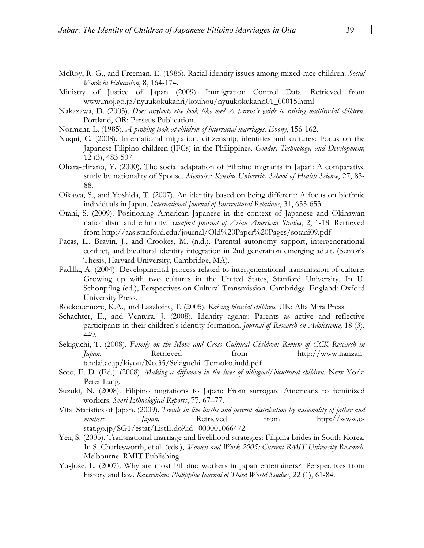- McRoy, R. G., and Freeman, E. (1986). Racial-identity issues among mixed-race children. *Social Work in Education*, 8, 164-174.
- Ministry of Justice of Japan (2009). Immigration Control Data. Retrieved from www.moj.go.jp/nyuukokukanri/kouhou/nyuukokukanri01\_00015.html
- Nakazawa, D. (2003). *Does anybody else look like me? A parent's guide to raising multiracial children*. Portland, OR: Perseus Publication.
- Norment, L. (1985). *A probing look at children of interracial marriages*. *Ebony*, 156-162.
- Nuqui, C. (2008). International migration, citizenship, identities and cultures: Focus on the Japanese-Filipino children (JFCs) in the Philippines. *Gender, Technology, and Development,* 12 (3), 483-507.
- Ohara-Hirano, Y. (2000). The social adaptation of Filipino migrants in Japan: A comparative study by nationality of Spouse. *Memoirs: Kyushu University School of Health Science*, 27, 83- 88.
- Oikawa, S., and Yoshida, T. (2007). An identity based on being different: A focus on biethnic individuals in Japan. *International Journal of Intercultural Relations*, 31, 633-653.
- Otani, S. (2009). Positioning American Japanese in the context of Japanese and Okinawan nationalism and ethnicity. *Stanford Journal of Asian American Studies*, 2, 1-18. Retrieved from http://aas.stanford.edu/journal/Old%20Paper%20Pages/sotani09.pdf
- Pacas, L., Bravin, J., and Crookes, M. (n.d.). Parental autonomy support, intergenerational conflict, and bicultural identity integration in 2nd generation emerging adult. (Senior's Thesis, Harvard University, Cambridge, MA).
- Padilla, A. (2004). Developmental process related to intergenerational transmission of culture: Growing up with two cultures in the United States, Stanford University. In U. Schonpflug (ed.), Perspectives on Cultural Transmission. Cambridge. England: Oxford University Press.
- Rockquemore, K.A., and Laszloffy, T. (2005). *Raising biracial children*. UK: Alta Mira Press.
- Schachter, E., and Ventura, J. (2008). Identity agents: Parents as active and reflective participants in their children's identity formation. *Journal of Research on Adolescence,* 18 (3), 449.
- Sekiguchi, T. (2008). *Family on the Move and Cross Cultural Children: Review of CCK Research in Japan*. Retrieved from http://www.nanzantandai.ac.jp/kiyou/No.35/Sekiguchi\_Tomoko.indd.pdf
- Soto, E. D. (Ed.). (2008). *Making a difference in the lives of bilingual/bicultural children.* New York: Peter Lang.
- Suzuki, N. (2008). Filipino migrations to Japan: From surrogate Americans to feminized workers. *Senri Ethnological Reports*, 77, 67–77.
- Vital Statistics of Japan. (2009). *Trends in live births and percent distribution by nationality of father and*  mother: *Japan*. Retrieved from http://www.estat.go.jp/SG1/estat/ListE.do?lid=000001066472
- Yea, S. (2005). Transnational marriage and livelihood strategies: Filipina brides in South Korea. In S. Charlesworth, et al. (eds.), *Women and Work 2005: Current RMIT University Research*. Melbourne: RMIT Publishing.
- Yu-Jose, L. (2007). Why are most Filipino workers in Japan entertainers?: Perspectives from history and law. *Kasarinlan: Philippine Journal of Third World Studies*, 22 (1), 61-84.